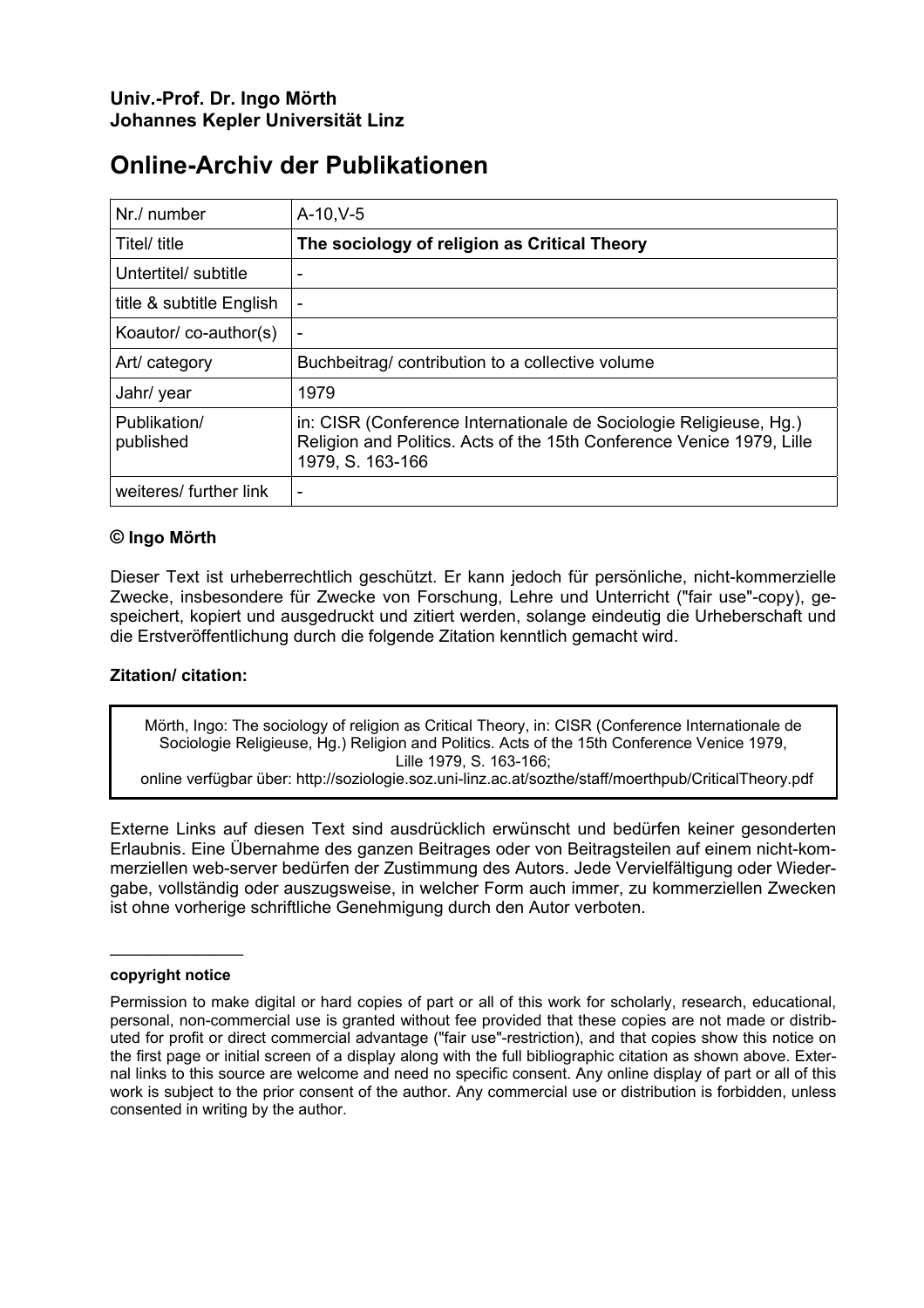## **Online-Archiv der Publikationen**

| Nr./ number               | $A-10, V-5$                                                                                                                                                     |
|---------------------------|-----------------------------------------------------------------------------------------------------------------------------------------------------------------|
| Titel/ title              | The sociology of religion as Critical Theory                                                                                                                    |
| Untertitel/ subtitle      |                                                                                                                                                                 |
| title & subtitle English  | $\overline{a}$                                                                                                                                                  |
| Koautor/co-author(s)      |                                                                                                                                                                 |
| Art/ category             | Buchbeitrag/contribution to a collective volume                                                                                                                 |
| Jahr/ year                | 1979                                                                                                                                                            |
| Publikation/<br>published | in: CISR (Conference Internationale de Sociologie Religieuse, Hg.)<br>Religion and Politics. Acts of the 15th Conference Venice 1979, Lille<br>1979, S. 163-166 |
| weiteres/ further link    | $\overline{\phantom{0}}$                                                                                                                                        |

### **© Ingo Mörth**

Dieser Text ist urheberrechtlich geschützt. Er kann jedoch für persönliche, nicht-kommerzielle Zwecke, insbesondere für Zwecke von Forschung, Lehre und Unterricht ("fair use"-copy), gespeichert, kopiert und ausgedruckt und zitiert werden, solange eindeutig die Urheberschaft und die Erstveröffentlichung durch die folgende Zitation kenntlich gemacht wird.

### **Zitation/ citation:**

Mörth, Ingo: The sociology of religion as Critical Theory, in: CISR (Conference Internationale de Sociologie Religieuse, Hg.) Religion and Politics. Acts of the 15th Conference Venice 1979, Lille 1979, S. 163-166;

online verfügbar über: http://soziologie.soz.uni-linz.ac.at/sozthe/staff/moerthpub/CriticalTheory.pdf

Externe Links auf diesen Text sind ausdrücklich erwünscht und bedürfen keiner gesonderten Erlaubnis. Eine Übernahme des ganzen Beitrages oder von Beitragsteilen auf einem nicht-kommerziellen web-server bedürfen der Zustimmung des Autors. Jede Vervielfältigung oder Wiedergabe, vollständig oder auszugsweise, in welcher Form auch immer, zu kommerziellen Zwecken ist ohne vorherige schriftliche Genehmigung durch den Autor verboten.

#### **copyright notice**

 $\overline{\phantom{a}}$  . The set of the set of the set of the set of the set of the set of the set of the set of the set of the set of the set of the set of the set of the set of the set of the set of the set of the set of the set o

Permission to make digital or hard copies of part or all of this work for scholarly, research, educational, personal, non-commercial use is granted without fee provided that these copies are not made or distributed for profit or direct commercial advantage ("fair use"-restriction), and that copies show this notice on the first page or initial screen of a display along with the full bibliographic citation as shown above. External links to this source are welcome and need no specific consent. Any online display of part or all of this work is subject to the prior consent of the author. Any commercial use or distribution is forbidden, unless consented in writing by the author.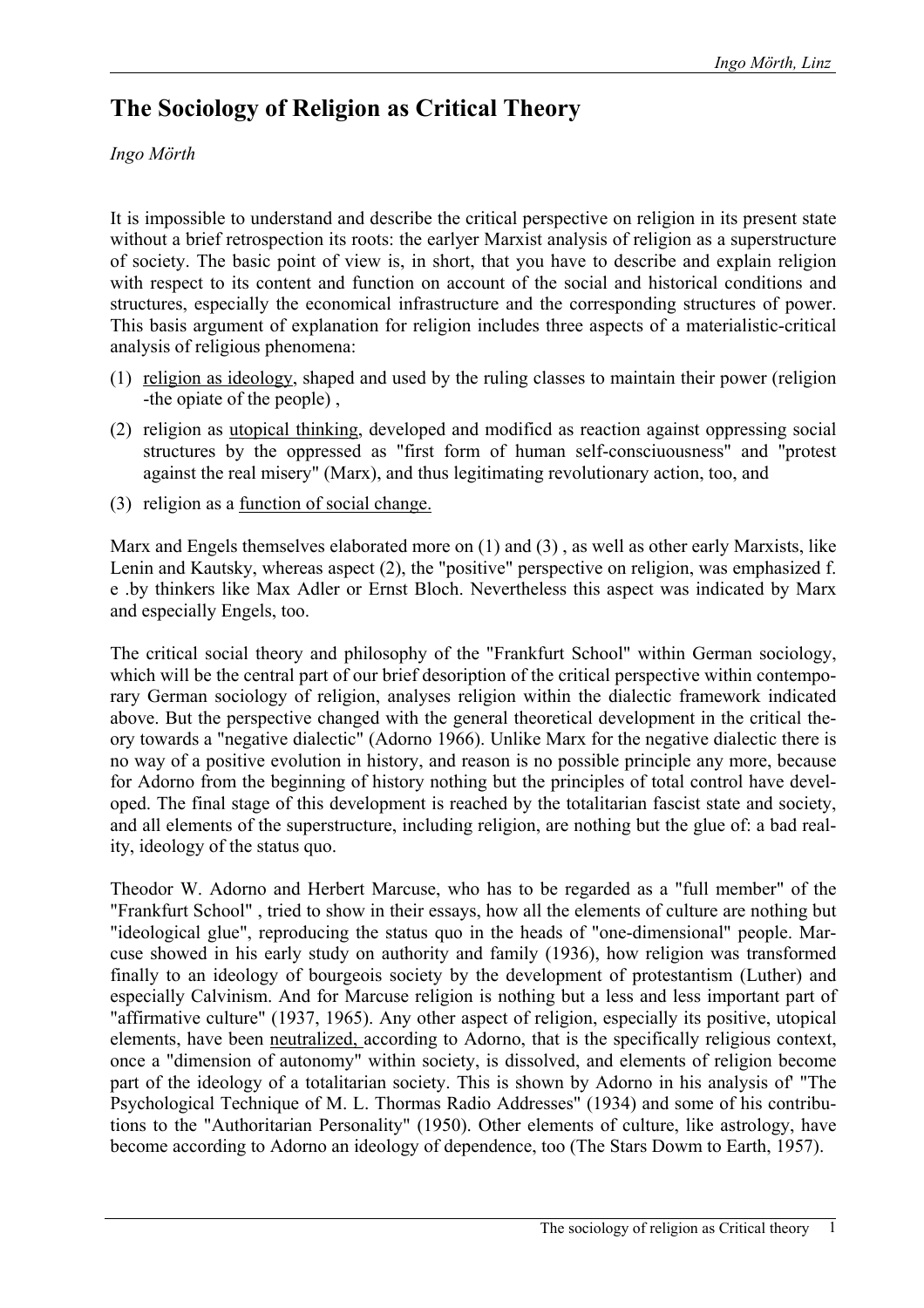# **The Sociology of Religion as Critical Theory**

*Ingo Mörth* 

It is impossible to understand and describe the critical perspective on religion in its present state without a brief retrospection its roots: the earlyer Marxist analysis of religion as a superstructure of society. The basic point of view is, in short, that you have to describe and explain religion with respect to its content and function on account of the social and historical conditions and structures, especially the economical infrastructure and the corresponding structures of power. This basis argument of explanation for religion includes three aspects of a materialistic-critical analysis of religious phenomena:

- (1) religion as ideology, shaped and used by the ruling classes to maintain their power (religion -the opiate of the people) ,
- (2) religion as utopical thinking, developed and modificd as reaction against oppressing social structures by the oppressed as "first form of human self-consciuousness" and "protest against the real misery" (Marx), and thus legitimating revolutionary action, too, and
- (3) religion as a function of social change.

Marx and Engels themselves elaborated more on (1) and (3) , as well as other early Marxists, like Lenin and Kautsky, whereas aspect (2), the "positive" perspective on religion, was emphasized f. e .by thinkers like Max Adler or Ernst Bloch. Nevertheless this aspect was indicated by Marx and especially Engels, too.

The critical social theory and philosophy of the "Frankfurt School" within German sociology, which will be the central part of our brief desoription of the critical perspective within contemporary German sociology of religion, analyses religion within the dialectic framework indicated above. But the perspective changed with the general theoretical development in the critical theory towards a "negative dialectic" (Adorno 1966). Unlike Marx for the negative dialectic there is no way of a positive evolution in history, and reason is no possible principle any more, because for Adorno from the beginning of history nothing but the principles of total control have developed. The final stage of this development is reached by the totalitarian fascist state and society, and all elements of the superstructure, including religion, are nothing but the glue of: a bad reality, ideology of the status quo.

Theodor W. Adorno and Herbert Marcuse, who has to be regarded as a "full member" of the "Frankfurt School" , tried to show in their essays, how all the elements of culture are nothing but "ideological glue", reproducing the status quo in the heads of "one-dimensional" people. Marcuse showed in his early study on authority and family (1936), how religion was transformed finally to an ideology of bourgeois society by the development of protestantism (Luther) and especially Calvinism. And for Marcuse religion is nothing but a less and less important part of "affirmative culture" (1937, 1965). Any other aspect of religion, especially its positive, utopical elements, have been neutralized, according to Adorno, that is the specifically religious context, once a "dimension of autonomy" within society, is dissolved, and elements of religion become part of the ideology of a totalitarian society. This is shown by Adorno in his analysis of' "The Psychological Technique of M. L. Thormas Radio Addresses" (1934) and some of his contributions to the "Authoritarian Personality" (1950). Other elements of culture, like astrology, have become according to Adorno an ideology of dependence, too (The Stars Dowm to Earth, 1957).